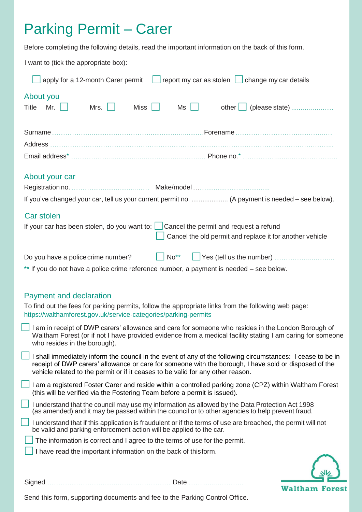# Parking Permit – Carer

Before completing the following details, read the important information on the back of this form.

I want to (tick the appropriate box):

| apply for a 12-month Carer permit<br>report my car as stolen $\Box$ change my car details                                                                                                                                                        |
|--------------------------------------------------------------------------------------------------------------------------------------------------------------------------------------------------------------------------------------------------|
| About you<br>other   (please state)<br><b>Title</b><br>Mr.<br>Mrs. $\Box$<br><b>Miss</b><br>Ms                                                                                                                                                   |
|                                                                                                                                                                                                                                                  |
|                                                                                                                                                                                                                                                  |
| About your car<br>If you've changed your car, tell us your current permit no.  (A payment is needed – see below).                                                                                                                                |
| Car stolen<br>If your car has been stolen, do you want to: $\Box$ Cancel the permit and request a refund<br>Cancel the old permit and replace it for another vehicle                                                                             |
| $\big $ No <sup>**</sup><br>Do you have a police crime number?<br>** If you do not have a police crime reference number, a payment is needed – see below.                                                                                        |
| <b>Payment and declaration</b><br>To find out the fees for parking permits, follow the appropriate links from the following web page:<br>https://walthamforest.gov.uk/service-categories/parking-permits                                         |
| I am in receipt of DWP carers' allowance and care for someone who resides in the London Borough of<br>Waltham Forest (or if not I have provided evidence from a medical facility stating I am caring for someone<br>who resides in the borough). |
| I shall immediately inform the council in the event of any of the following circumstances: I cease to be in                                                                                                                                      |

- receipt of DWP carers' allowance or care for someone with the borough, I have sold or disposed of the vehicle related to the permit or if it ceases to be valid for any other reason.
- I am a registered Foster Carer and reside within a controlled parking zone (CPZ) within Waltham Forest (this will be verified via the Fostering Team before a permit is issued).
- <sup>I</sup> understand that the council may use my information as allowed by the Data Protection Act <sup>1998</sup> (as amended) and it may be passed within the council or to other agencies to help prevent fraud.

| I understand that if this application is fraudulent or if the terms of use are breached, the permit will not |
|--------------------------------------------------------------------------------------------------------------|
| be valid and parking enforcement action will be applied to the car.                                          |

- The information is correct and <sup>I</sup> agree to the terms of use for the permit.
- I have read the important information on the back of thisform.



Signed …………………….........…………………… Date …….......………….

Send this form, supporting documents and fee to the Parking Control Office.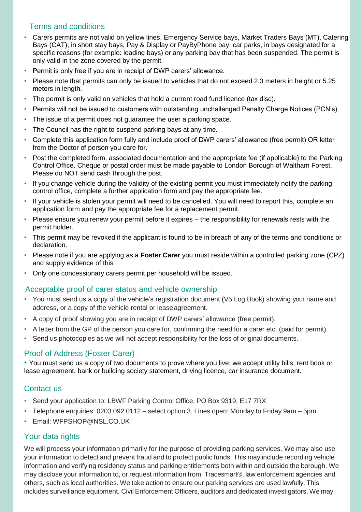## Terms and conditions

- Carers permits are not valid on yellow lines, Emergency Service bays, Market Traders Bays (MT), Catering Bays (CAT), in short stay bays, Pay & Display or PayByPhone bay, car parks, in bays designated for a specific reasons (for example: loading bays) or any parking bay that has been suspended. The permit is only valid in the zone covered by the permit.
- Permit is only free if you are in receipt of DWP carers' allowance.
- Please note that permits can only be issued to vehicles that do not exceed 2.3 meters in height or 5.25 meters in length.
- The permit is only valid on vehicles that hold a current road fund licence (tax disc).
- Permits will not be issued to customers with outstanding unchallenged Penalty Charge Notices (PCN's).
- The issue of a permit does not guarantee the user a parking space.
- The Council has the right to suspend parking bays at any time.
- Complete this application form fully and include proof of DWP carers' allowance (free permit) OR letter from the Doctor of person you care for.
- Post the completed form, associated documentation and the appropriate fee (if applicable) to the Parking Control Office. Cheque or postal order must be made payable to London Borough of Waltham Forest. Please do NOT send cash through the post.
- If you change vehicle during the validity of the existing permit you must immediately notify the parking control office, complete a further application form and pay the appropriate fee.
- If your vehicle is stolen your permit will need to be cancelled. You will need to report this, complete an application form and pay the appropriate fee for a replacement permit.
- Please ensure you renew your permit before it expires the responsibility for renewals rests with the permit holder.
- This permit may be revoked if the applicant is found to be in breach of any of the terms and conditions or declaration.
- Please note if you are applying as a **Foster Carer** you must reside within a controlled parking zone (CPZ) and supply evidence of this
- Only one concessionary carers permit per household will be issued.

#### Acceptable proof of carer status and vehicle ownership

- You must send us a copy of the vehicle's registration document (V5 Log Book) showing your name and address, or a copy of the vehicle rental or leaseagreement.
- A copy of proof showing you are in receipt of DWP carers' allowance (free permit).
- A letter from the GP of the person you care for, confirming the need for a carer etc. (paid for permit).
- Send us photocopies as we will not accept responsibility for the loss of original documents.

#### Proof of Address (Foster Carer)

• You must send us a copy of two documents to prove where you live: we accept utility bills, rent book or lease agreement, bank or building society statement, driving licence, car insurance document.

#### Contact us

- Send your application to: LBWF Parking Control Office, PO Box 9319, E17 7RX
- Telephone enquiries: 0203 092 0112 select option 3. Lines open: Monday to Friday 9am 5pm
- Email: [WFPSHOP@NSL.CO.UK](mailto:WFPSHOP@NSL.CO.UK)

## Your data rights

We will process your information primarily for the purpose of providing parking services. We may also use your information to detect and prevent fraud and to protect public funds. This may include recording vehicle information and verifying residency status and parking entitlements both within and outside the borough. We may disclose your information to, or request information from, Tracesmart®, law enforcement agencies and others, such as local authorities. We take action to ensure our parking services are used lawfully. This includes surveillance equipment, Civil Enforcement Officers, auditors and dedicated investigators. We may